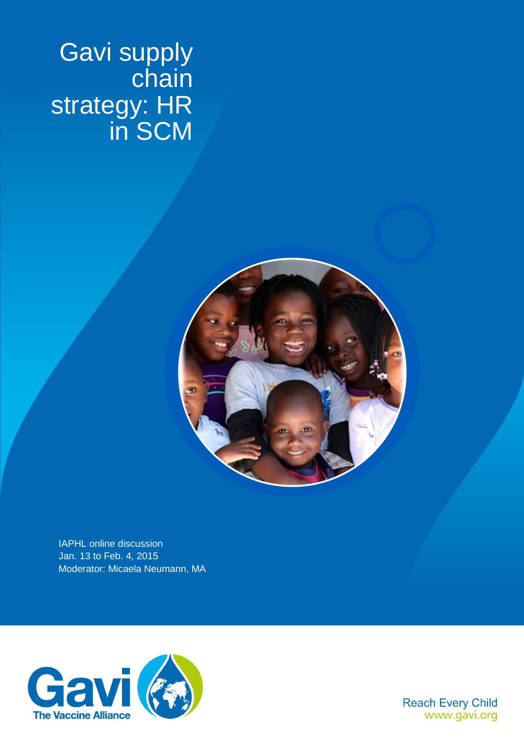Gavi supply chain strategy: HR in SCM



IAPHL online discussion Jan. 13 to Feb. 4, 2015 Moderator: Micaela Neumann, MA



**Reach Every Child** www.gavi.org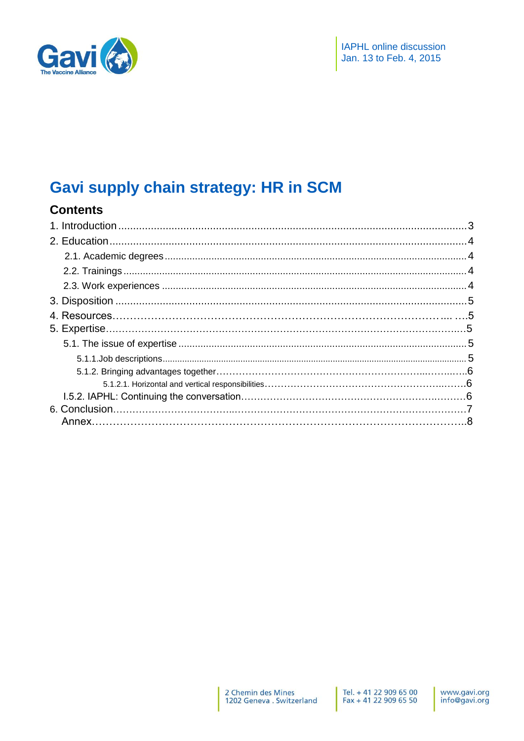

# Gavi supply chain strategy: HR in SCM

# **Contents**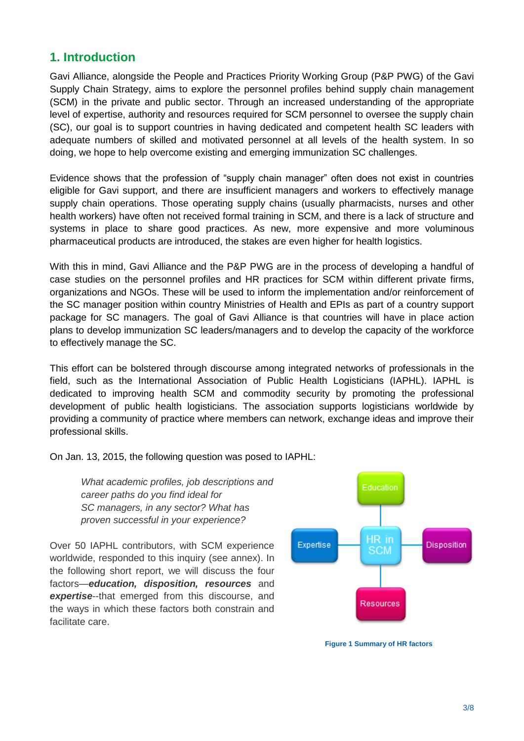# **1. Introduction**

Gavi Alliance, alongside the People and Practices Priority Working Group (P&P PWG) of the Gavi Supply Chain Strategy, aims to explore the personnel profiles behind supply chain management (SCM) in the private and public sector. Through an increased understanding of the appropriate level of expertise, authority and resources required for SCM personnel to oversee the supply chain (SC), our goal is to support countries in having dedicated and competent health SC leaders with adequate numbers of skilled and motivated personnel at all levels of the health system. In so doing, we hope to help overcome existing and emerging immunization SC challenges.

Evidence shows that the profession of "supply chain manager" often does not exist in countries eligible for Gavi support, and there are insufficient managers and workers to effectively manage supply chain operations. Those operating supply chains (usually pharmacists, nurses and other health workers) have often not received formal training in SCM, and there is a lack of structure and systems in place to share good practices. As new, more expensive and more voluminous pharmaceutical products are introduced, the stakes are even higher for health logistics.

With this in mind, Gavi Alliance and the P&P PWG are in the process of developing a handful of case studies on the personnel profiles and HR practices for SCM within different private firms, organizations and NGOs. These will be used to inform the implementation and/or reinforcement of the SC manager position within country Ministries of Health and EPIs as part of a country support package for SC managers. The goal of Gavi Alliance is that countries will have in place action plans to develop immunization SC leaders/managers and to develop the capacity of the workforce to effectively manage the SC.

This effort can be bolstered through discourse among integrated networks of professionals in the field, such as the International Association of Public Health Logisticians (IAPHL). IAPHL is dedicated to improving health SCM and commodity security by promoting the professional development of public health logisticians. The association supports logisticians worldwide by providing a community of practice where members can network, exchange ideas and improve their professional skills.

On Jan. 13, 2015, the following question was posed to IAPHL:

*What academic profiles, job descriptions and career paths do you find ideal for SC managers, in any sector? What has proven successful in your experience?*

Over 50 IAPHL contributors, with SCM experience worldwide, responded to this inquiry (see annex). In the following short report, we will discuss the four factors—*education, disposition, resources* and *expertise*--that emerged from this discourse, and the ways in which these factors both constrain and facilitate care.



 **Figure 1 Summary of HR factors**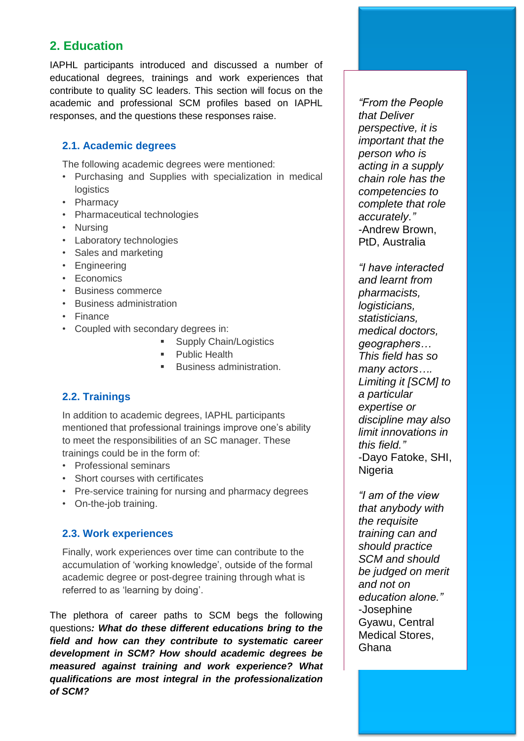## **2. Education**

IAPHL participants introduced and discussed a number of educational degrees, trainings and work experiences that contribute to quality SC leaders. This section will focus on the academic and professional SCM profiles based on IAPHL responses, and the questions these responses raise.

## **2.1. Academic degrees**

The following academic degrees were mentioned:

- Purchasing and Supplies with specialization in medical **logistics**
- Pharmacy
- Pharmaceutical technologies
- Nursing
- Laboratory technologies
- Sales and marketing
- Engineering
- Economics
- Business commerce
- Business administration
- Finance
- Coupled with secondary degrees in:
	- **Supply Chain/Logistics**
	- **Public Health**
	- **Business administration.**

## **2.2. Trainings**

In addition to academic degrees, IAPHL participants mentioned that professional trainings improve one's ability to meet the responsibilities of an SC manager. These trainings could be in the form of:

- Professional seminars
- Short courses with certificates
- Pre-service training for nursing and pharmacy degrees
- On-the-job training.

## **2.3. Work experiences**

Finally, work experiences over time can contribute to the accumulation of 'working knowledge', outside of the formal academic degree or post-degree training through what is referred to as 'learning by doing'.

The plethora of career paths to SCM begs the following questions*: What do these different educations bring to the field and how can they contribute to systematic career development in SCM? How should academic degrees be measured against training and work experience? What qualifications are most integral in the professionalization of SCM?*

*"From the People that Deliver perspective, it is important that the person who is acting in a supply chain role has the competencies to complete that role accurately."* -Andrew Brown, PtD, Australia

*"I have interacted and learnt from pharmacists, logisticians, statisticians, medical doctors, geographers… This field has so many actors…. Limiting it [SCM] to a particular expertise or discipline may also limit innovations in this field."* -Dayo Fatoke, SHI, **Nigeria** 

*"I am of the view that anybody with the requisite training can and should practice SCM and should be judged on merit and not on education alone."* -Josephine Gyawu, Central Medical Stores, Ghana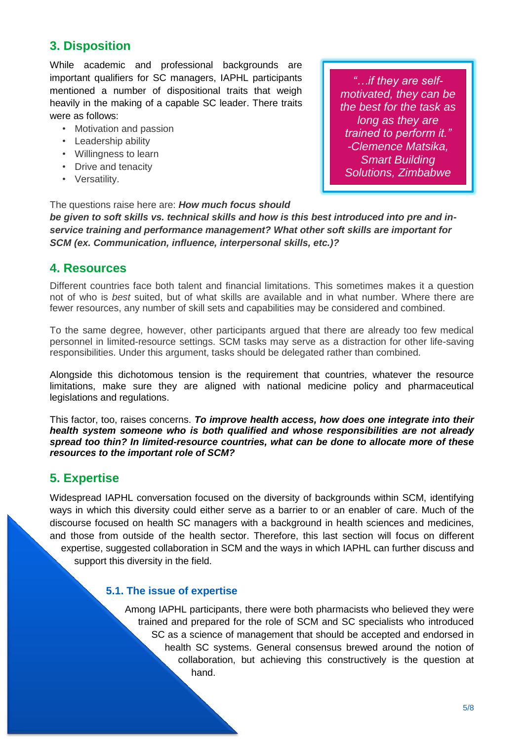# **3. Disposition**

While academic and professional backgrounds are important qualifiers for SC managers, IAPHL participants mentioned a number of dispositional traits that weigh heavily in the making of a capable SC leader. There traits were as follows:

- Motivation and passion
- Leadership ability
- Willingness to learn
- Drive and tenacity
- Versatility.

*"…if they are selfmotivated, they can be the best for the task as long as they are trained to perform it." -Clemence Matsika, Smart Building Solutions, Zimbabwe*

The questions raise here are: *How much focus should be given to soft skills vs. technical skills and how is this best introduced into pre and inservice training and performance management? What other soft skills are important for SCM (ex. Communication, influence, interpersonal skills, etc.)?*

## **4. Resources**

Different countries face both talent and financial limitations. This sometimes makes it a question not of who is *best* suited, but of what skills are available and in what number. Where there are fewer resources, any number of skill sets and capabilities may be considered and combined.

To the same degree, however, other participants argued that there are already too few medical personnel in limited-resource settings. SCM tasks may serve as a distraction for other life-saving responsibilities. Under this argument, tasks should be delegated rather than combined.

Alongside this dichotomous tension is the requirement that countries, whatever the resource limitations, make sure they are aligned with national medicine policy and pharmaceutical legislations and regulations.

This factor, too, raises concerns. *To improve health access, how does one integrate into their health system someone who is both qualified and whose responsibilities are not already spread too thin? In limited-resource countries, what can be done to allocate more of these resources to the important role of SCM?*

# **5. Expertise**

Widespread IAPHL conversation focused on the diversity of backgrounds within SCM, identifying ways in which this diversity could either serve as a barrier to or an enabler of care. Much of the discourse focused on health SC managers with a background in health sciences and medicines, and those from outside of the health sector. Therefore, this last section will focus on different expertise, suggested collaboration in SCM and the ways in which IAPHL can further discuss and support this diversity in the field.

## **5.1. The issue of expertise**

Among IAPHL participants, there were both pharmacists who believed they were trained and prepared for the role of SCM and SC specialists who introduced SC as a science of management that should be accepted and endorsed in health SC systems. General consensus brewed around the notion of collaboration, but achieving this constructively is the question at hand.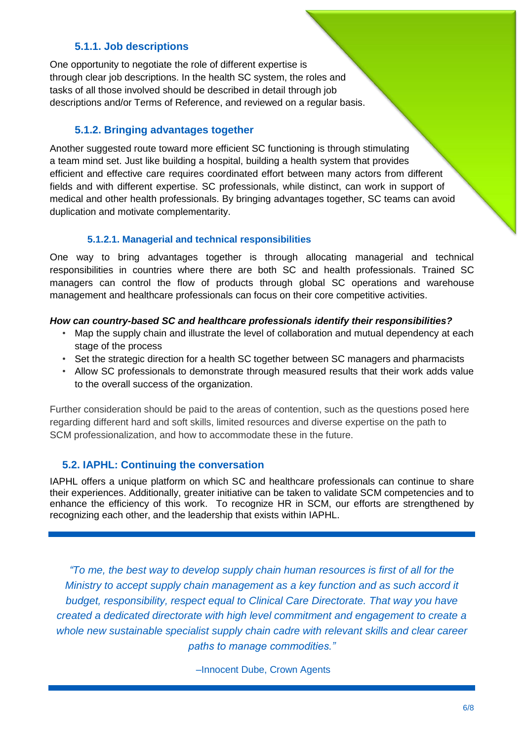#### **5.1.1. Job descriptions**

One opportunity to negotiate the role of different expertise is through clear job descriptions. In the health SC system, the roles and tasks of all those involved should be described in detail through job descriptions and/or Terms of Reference, and reviewed on a regular basis.

#### **5.1.2. Bringing advantages together**

Another suggested route toward more efficient SC functioning is through stimulating a team mind set. Just like building a hospital, building a health system that provides efficient and effective care requires coordinated effort between many actors from different fields and with different expertise. SC professionals, while distinct, can work in support of medical and other health professionals. By bringing advantages together, SC teams can avoid duplication and motivate complementarity.

#### **5.1.2.1. Managerial and technical responsibilities**

One way to bring advantages together is through allocating managerial and technical responsibilities in countries where there are both SC and health professionals. Trained SC managers can control the flow of products through global SC operations and warehouse management and healthcare professionals can focus on their core competitive activities.

#### *How can country-based SC and healthcare professionals identify their responsibilities?*

- Map the supply chain and illustrate the level of collaboration and mutual dependency at each stage of the process
- Set the strategic direction for a health SC together between SC managers and pharmacists
- Allow SC professionals to demonstrate through measured results that their work adds value to the overall success of the organization.

Further consideration should be paid to the areas of contention, such as the questions posed here regarding different hard and soft skills, limited resources and diverse expertise on the path to SCM professionalization, and how to accommodate these in the future.

#### **5.2. IAPHL: Continuing the conversation**

IAPHL offers a unique platform on which SC and healthcare professionals can continue to share their experiences. Additionally, greater initiative can be taken to validate SCM competencies and to enhance the efficiency of this work. To recognize HR in SCM, our efforts are strengthened by recognizing each other, and the leadership that exists within IAPHL.

*"To me, the best way to develop supply chain human resources is first of all for the Ministry to accept supply chain management as a key function and as such accord it budget, responsibility, respect equal to Clinical Care Directorate. That way you have created a dedicated directorate with high level commitment and engagement to create a whole new sustainable specialist supply chain cadre with relevant skills and clear career paths to manage commodities."*

–Innocent Dube, Crown Agents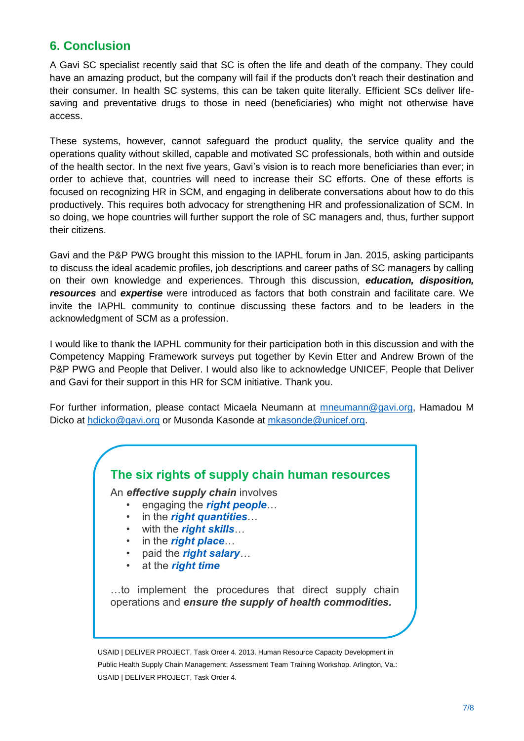# **6. Conclusion**

A Gavi SC specialist recently said that SC is often the life and death of the company. They could have an amazing product, but the company will fail if the products don't reach their destination and their consumer. In health SC systems, this can be taken quite literally. Efficient SCs deliver lifesaving and preventative drugs to those in need (beneficiaries) who might not otherwise have access.

These systems, however, cannot safeguard the product quality, the service quality and the operations quality without skilled, capable and motivated SC professionals, both within and outside of the health sector. In the next five years, Gavi's vision is to reach more beneficiaries than ever; in order to achieve that, countries will need to increase their SC efforts. One of these efforts is focused on recognizing HR in SCM, and engaging in deliberate conversations about how to do this productively. This requires both advocacy for strengthening HR and professionalization of SCM. In so doing, we hope countries will further support the role of SC managers and, thus, further support their citizens.

Gavi and the P&P PWG brought this mission to the IAPHL forum in Jan. 2015, asking participants to discuss the ideal academic profiles, job descriptions and career paths of SC managers by calling on their own knowledge and experiences. Through this discussion, *education, disposition, resources* and *expertise* were introduced as factors that both constrain and facilitate care. We invite the IAPHL community to continue discussing these factors and to be leaders in the acknowledgment of SCM as a profession.

I would like to thank the IAPHL community for their participation both in this discussion and with the Competency Mapping Framework surveys put together by Kevin Etter and Andrew Brown of the P&P PWG and People that Deliver. I would also like to acknowledge UNICEF, People that Deliver and Gavi for their support in this HR for SCM initiative. Thank you.

For further information, please contact Micaela Neumann at [mneumann@gavi.org,](mailto:mneumann@gavi.org) Hamadou M Dicko at [hdicko@gavi.org](mailto:hdicko@gavi.org) or Musonda Kasonde at [mkasonde@unicef.org.](mailto:mkasonde@unicef.org)

# **The six rights of supply chain human resources**

An *effective supply chain* involves

- engaging the *right people*…
- in the *right quantities*…
- with the *right skills*…
- in the *right place*…
- paid the *right salary…*
- at the *right time*

…to implement the procedures that direct supply chain operations and *ensure the supply of health commodities.*

USAID | DELIVER PROJECT, Task Order 4. 2013. Human Resource Capacity Development in Public Health Supply Chain Management: Assessment Team Training Workshop. Arlington, Va.: USAID | DELIVER PROJECT, Task Order 4.